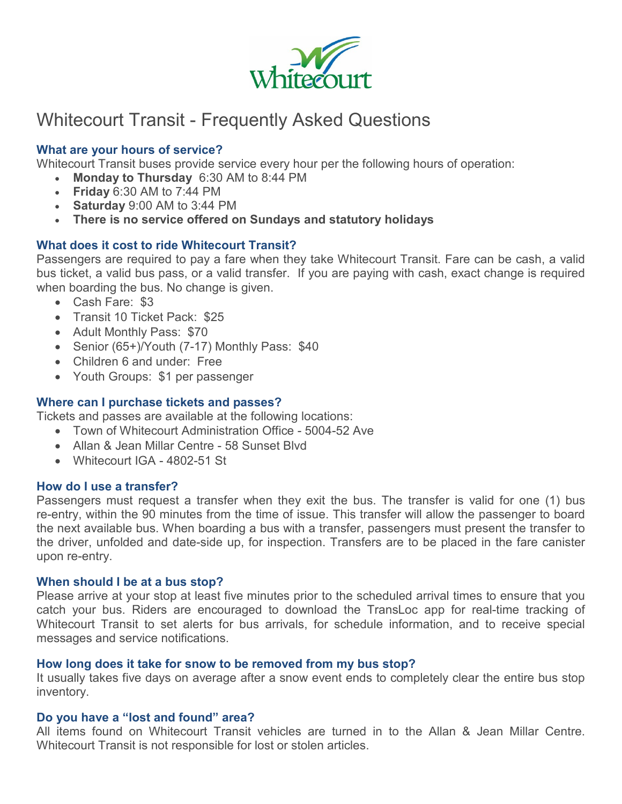

## Whitecourt Transit - Frequently Asked Questions

### **What are your hours of service?**

Whitecourt Transit buses provide service every hour per the following hours of operation:

- **Monday to Thursday** 6:30 AM to 8:44 PM
- **Friday** 6:30 AM to 7:44 PM
- **Saturday** 9:00 AM to 3:44 PM
- **There is no service offered on Sundays and statutory holidays**

#### **What does it cost to ride Whitecourt Transit?**

Passengers are required to pay a fare when they take Whitecourt Transit. Fare can be cash, a valid bus ticket, a valid bus pass, or a valid transfer. If you are paying with cash, exact change is required when boarding the bus. No change is given.

- Cash Fare: \$3
- Transit 10 Ticket Pack: \$25
- Adult Monthly Pass: \$70
- Senior (65+)/Youth (7-17) Monthly Pass: \$40
- Children 6 and under: Free
- Youth Groups: \$1 per passenger

#### **Where can I purchase tickets and passes?**

Tickets and passes are available at the following locations:

- Town of Whitecourt Administration Office 5004-52 Ave
- Allan & Jean Millar Centre 58 Sunset Blvd
- Whitecourt IGA 4802-51 St

#### **How do I use a transfer?**

Passengers must request a transfer when they exit the bus. The transfer is valid for one (1) bus re-entry, within the 90 minutes from the time of issue. This transfer will allow the passenger to board the next available bus. When boarding a bus with a transfer, passengers must present the transfer to the driver, unfolded and date-side up, for inspection. Transfers are to be placed in the fare canister upon re-entry.

#### **When should I be at a bus stop?**

Please arrive at your stop at least five minutes prior to the scheduled arrival times to ensure that you catch your bus. Riders are encouraged to download the TransLoc app for real-time tracking of Whitecourt Transit to set alerts for bus arrivals, for schedule information, and to receive special messages and service notifications.

#### **How long does it take for snow to be removed from my bus stop?**

It usually takes five days on average after a snow event ends to completely clear the entire bus stop inventory.

#### **Do you have a "lost and found" area?**

All items found on Whitecourt Transit vehicles are turned in to the Allan & Jean Millar Centre. Whitecourt Transit is not responsible for lost or stolen articles.